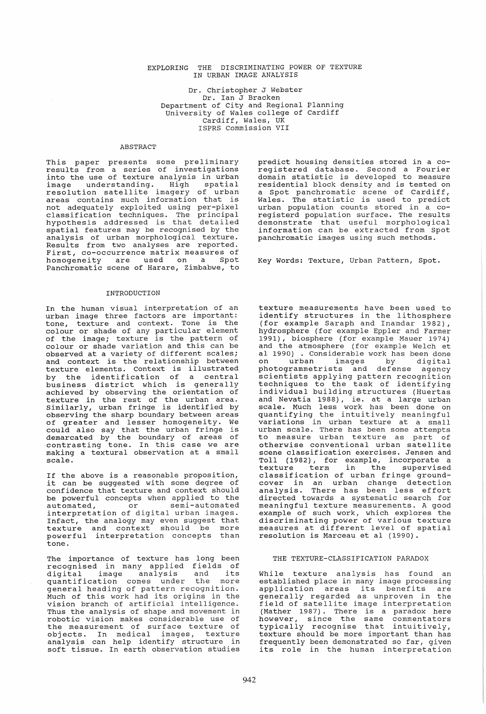# EXPLORING THE DISCRIMINATING POWER OF TEXTURE IN URBAN IMAGE ANALYSIS

Dr. Christopher J Webster Dr. Ian J Bracken Department of City and Regional Planning university of Wales college of Cardiff Cardiff, Wales, UK ISPRS Commission VII

# ABSTRACT

This paper presents some preliminary This paper presents some prefiminary<br>results from a series of investigations into the use of texture analysis in urban image understanding. High spatial resolution satellite imagery of urban areas contains much information that is not adequately exploited using per-pixel classification techniques. The principal hypothesis addressed is that detailed spatial features may be recognised by the analysis of urban morphological texture. Results from two analyses are reported. First, co-occurrence matrix measures of homogeneity are used on a spot Panchromatic scene of Harare, Zimbabwe, to

#### INTRODUCTION

In the human visual interpretation of an urban image three factors are important: tone, texture and context. Tone is the colour or shade of any particular element of the image; texture is the pattern of colour or shade variation and this can be observed at a variety of different scales; and context is the relationship between texture elements. Context is illustrated by the identification of a central business district which is generally achieved by observing the orientation of texture in the rest of the urban area. Similarly, urban fringe is identified by observing the sharp boundary between areas of greater and lesser homogeneity. We of greater and resper homogenerey. We demarcated by the boundary of areas of contrasting tone. In this case we are making a textural observation at a small naking a textural observation at a small<br>scale.

If the above is a reasonable proposition, it can be suggested with some degree of confidence that texture and context should be powerful concepts when applied to the automated, or semi-automated automated, or semi-automated<br>interpretation of digital urban images. Infact, the analogy may even suggest that texture and context should be more powerful interpretation concepts than tone.

The importance of texture has long been recognised in many applied fields of digital image analysis and its digital image analysis and its<br>quantification comes under the more<br>general heading of pattern recognition. Much of this work had its origins in the nuch of this work had its origins in the<br>vision branch of artificial intelligence. Thus the analysis of shape and movement in robotic vision makes considerable use of the measurement of surface texture of objects. In medical images, texture analysis can help identify structure in andrysis can herp racherry scrubbare in predict housing densities stored in a co-<br>registered database. Second a Fourier<br>domain statistic is developed to measure domain statistic is developed to measure residential block density and is tested on a spot panchromatic scene of Cardiff, a spot panentomatic seche of caraffi, urban population counts stored in a co-<br>registerd population surface. The results registerd population surface. The results<br>demonstrate that useful morphological information can be extracted from Spot panchromatic images using such methods.

Key Words: Texture, Urban Pattern, spot.

texture measurements have been used to identify structures in the lithosphere (for example Saraph and Inamdar 1982), hydrosphere (for example Eppler and Farmer 1991), biosphere (for example Mauer 1974) and the atmosphere (for example Mader 1974) al 1990) . Considerable work has been done on urban images by digital photogrammetrists and defense agency scientists applying pattern recognition techniques to the task of identifying individual building structures (Huertas and Nevatia 1988), ie. at a large urban scale. Much less work has been done on quantifying the intuitively meaningful variations in urban texture at a small urban scale. There has been some attempts to measure urban texture as part of<br>otherwise conventional urban satellite scene classification exercises. Jensen and Toll (1982), for example, incorporate a texture term in the supervised classification of urban fringe ground- cover in an urban change detection analysis. There has been less effort directed towards a systematic search for meaningful texture measurements. A good example of such work, which explores the<br>discriminating power of various texture discriminating power of various texture measures at different level of spatial medistics de difference fever of t

### THE TEXTURE-CLASSIFICATION PARADOX

While texture analysis has found an<br>established place in many image processing<br>application areas its benefits are generally regarded as unproven in the generally regarded as unproven in the<br>field of satellite image interpretation (Mather 1987). There is a paradox here however, since the same commentators typically recognise that intuitively, texture should be more important than has frequently been demonstrated so far, given its role in the human interpretation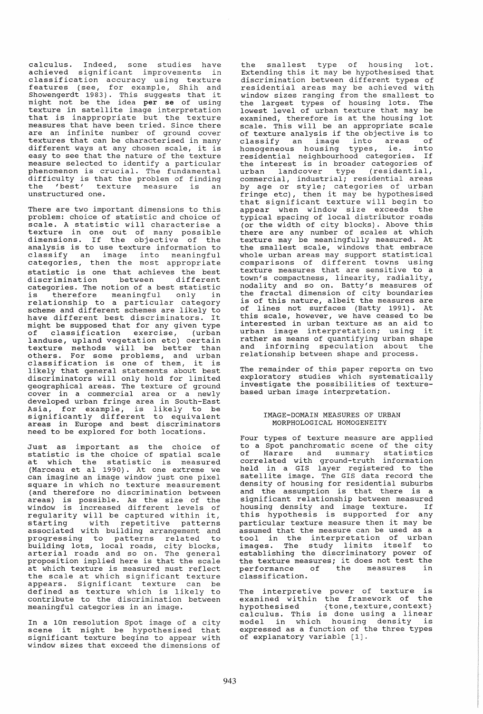calculus. Indeed, some studies have achieved significant improvements in classification accuracy using texture features (see, for example, Shih and Showengerdt 1983). This suggests that it might not be the idea per se of using texture in satellite image interpretation that is inappropriate but the texture measures that have been tried. Since there are an infinite number of ground cover textures that can be characterised in many different ways at any chosen scale, it is<br>easy to see that the nature of the texture easy to see that the nature measure selected to identify a particular phenomenon is crucial. The fundamental phenomenon is eracial. The fundamental<br>difficulty is that the problem of finding difficulty is that the problem of finding<br>the 'best' texture measure is an<br>unstructured one.

There are two important dimensions to this problem: choice of statistic and choice of problem: Choice of Statistic and Choice of<br>scale. A statistic will characterise a<br>texture in one out of many possible dimensions. If the objective of the analysis is to use texture information to classify an image into meaningful categories, then the most appropriate statistic is one that achieves the best<br>discrimination between different between different categories. The notion of a best statistic<br>is therefore meaningful only in therefore meaningful only relationship to a particular category scheme and different schemes are likely to have different best discriminators. It might be supposed that for any given type might be supposed that for any given type<br>of classification exercise, (urban landuse, upland vegetation etc) certain texture methods will be better than others. For some problems, and urban<br>classification is one of them, it is<br>likely that general statements about best discriminators will only hold for limited geographical areas. The texture of ground cover in a commercial area or a newly developed urban fringe area in South-East Asia, for example, is likely to be significantly different to equivalent areas in Europe and best discriminators need to be explored for both locations.

Just as important as the choice of statistic is the choice of spatial scale statistic is the choice of spatial scale<br>at which the statistic is measured (Marceau et al 1990). At one extreme we can imagine an image window just one pixel can imagine an image window just one pixel<br>square in which no texture measurement (and therefore no discrimination between areas) is possible. As the size of the window is increased different levels of window is increased different levels of<br>regularity will be captured within it, starting with repetitive patterns starting with repetitive patterns<br>associated with building arrangement and progressing to patterns related to building lots, local roads, city blocks, arterial roads and so on. The general proposition implied here is that the scale at which texture is measured must reflect the scale at which significant texture<br>appears. Significant texture can be appears. Significant texture defined as texture which is likely to contribute to the discrimination between meaningful categories in an image.

In a 10m resolution spot image of a city scene it might be hypothesised that significant texture begins to appear with window sizes that exceed the dimensions of

the smallest type of housing lot. Extending this it may be hypothesised that discrimination between different types of residential areas may be achieved with window sizes ranging from the smallest to the largest types of housing lots. The lowest level of urban texture that may be examined, therefore is at the housing lot scale. This will be an appropriate scale of texture analysis if the objective is to of texture analysis if the objective is to<br>classify an image into areas of homogeneous housing types, ie. into residential neighbourhood categories. If the interest is in broader categories of urban landcover type (residential, commercial, industrial; residential areas by age or style; categories of urban by age or style; categories of urban<br>fringe etc), then it may be hypothesised that significant texture will begin to appear when window size exceeds the typical spacing of local distributor roads (or the width of city blocks). Above this there are any number of scales at which texture may be meaningfully measured. At the smallest scale, windows that embrace whole urban areas may support statistical whole diban areas may support seatistical<br>comparisons of different towns using texture measures that are sensitive to a town's compactness, linearity, radiality, town's compactness, linearity, radiality,<br>nodality and so on. Batty's measures of the fractal dimension of city boundaries is of this nature, albeit the measures are of lines not surfaces (Batty 1991). At of fincs not burraces (bace, 1991). He interested in urban texture as an aid to urban image interpretation; using it rather as means of quantifying urban shape and informing speculation about the relationship between shape and process.

The remainder of this paper reports on two exploratory studies which systematically investigate the possibilities of texturebased urban image interpretation.

# IMAGE-DOMAIN MEASURES OF URBAN MORPHOLOGICAL HOMOGENEITY

Four types of texture measure are applied to a spot panchromatic scene of the city<br>of Harare and summary statistics Lo a spot pandiffomatic scene of the city<br>of Harare and summary statistics correlated with ground-truth information held in a GIS layer registered to the satelli te image. The GIS data record the density of housing for residential suburbs and the assumption is that there is a<br>significant relationship between measured significant refactorship between measured<br>housing density and image texture. If this hypothesis is supported for any particular texture measure then it may be purcredial concure measure can be used as a<br>assumed that the measure can be used as a<br>tool in the interpretation of urban images. The study limits itself to establishing the discriminatory power of the texture measures; it does not test the end texture measures, is about more contained the measures in performance of<br>classification.

The interpretive power of texture is examined within the framework of the examined within the framework of the<br>hypothesised {tone,texture,context} calculus. This is done using a linear model in which housing density is expressed as a function of the three types of explanatory variable [1].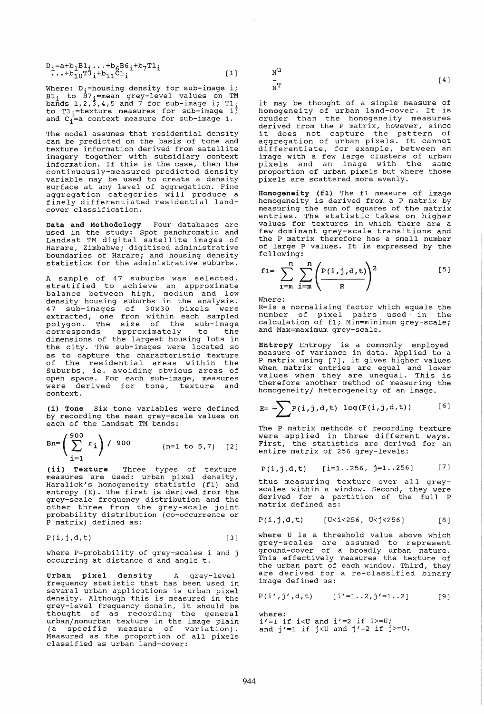| $D_i = a + b_1 B1_i \dots + b_6 B6_i + b_7 T1_i$<br>$\dots + b_{10} T3_i + b_{11} C1_i$ |     |
|-----------------------------------------------------------------------------------------|-----|
|                                                                                         | [1] |
|                                                                                         |     |

Where: D<sub>i</sub>=housing density for sub-image i;  $B1_i$  to  $B7_i$ =mean grey-level values on TM<br>bands 1,2,3,4,5 and 7 for sub-image i; T1<sub>i</sub> bands  $1, 2, 3, 4, 3$  and  $7$  for sub-image  $1, 11$ <br>to T3<sub>1</sub>=texture measures for sub-image i;<br>and C<sub>1</sub>=a context measure for sub-image i.

The model assumes that residential density can be predicted on the basis of tone and texture information derived from satellite imagery together with subsidiary context information. If this is the case, then the continuously-measured predicted density variable may be used to create a density surface at any level of aggregation. Fine aggregation categories will produce a finely differentiated residential landcover classification.

Data and Methodology Four databases are used in the study: spot panchromatic and Landsat TM digital satellite images of Harare, zimbabwe; digitised administrative boundaries of Harare; and housing density statistics for the administrative suburbs.

A sample of 47 suburbs was selected, stratified to achieve an approximate balance between high, medium and low density housing suburbs in the analysis. 47 sub-images of 30x30 pixels were extracted, one from within each sampled polygon. The size of the sub-image corresponds approximately to the dimensions of the largest housing lots in the city. The sub-images were located so as to capture the characteristic texture of the residential areas within the Suburbs, ie. avoiding obvious areas of open space. For each sub-image, measures were derived for tone, texture context.

(i) Tone six tone variables were defined by recording the mean grey-scale values on each of the Landsat TM bands:

$$
Bn = \left(\sum_{i=1}^{900} r_i\right) / 900 \qquad (n=1 \text{ to } 5,7) \quad [2]
$$

(ii) Texture Three types of texture measures are used: urban pixel density, measures are used: urban pixer density,<br>Haralick's homogeneity statistic (f1) and entropy (E). The first is derived from the grey-scale frequency distribution and the grey-scale frequency discribation and the<br>other three from the grey-scale joint probability distribution (co-occurrence or P matrix) defined as:

$$
P(i,j,d,t) \qquad \qquad [3]
$$

where P=probability of grey-scales i and j occurring at distance d and angle t.

U<mark>rban pixel density</mark> A grey-level<br>frequency statistic that has been used in several urban applications is urban pixel density. Although this is measured in the density. Although this is measured in the<br>grey-level frequency domain, it should be grey rever frequency demain, it enoure so urban/nonurban texture in the image plain (a specific measure of variation). Measured as the proportion of all pixels classified as urban land-cover:

 $\mathbf{N}^{\mathbf{u}}$ 

 $\overline{N}$ 

it may be thought of a simple measure of homogeneity of urban land-cover. It is cruder than the homogeneity measures derived from the P matrix, however, since it does not capture the pattern of it does not capture the pattern of<br>aggregation of urban pixels. It cannot aggregation of diban pixcle. It cannot image with a few large clusters of urban pixels and an image with the same proportion of urban pixels but where those pixels are scattered more evenly.

[4]

Homogeneity (fl) The f1 measure of image homogeneity is derived from a P matrix by measuring the sum of squares of the matrix entries. The statistic takes on higher values for textures in which there are a few dominant grey-scale transitions and the P matrix therefore has a small number of large P values. It is expressed by the following:

$$
f1 = \sum_{i=m}^{n} \sum_{i=m}^{n} \left( \frac{P(i,j,d,t)}{R} \right)^{2}
$$
 [5]

Where:

R=is a normalising factor which equals the number of pixel pairs used in the calculation of f1; Min=minimum grey-scale; and Max=maximum grey-scale.

Entropy Entropy is a commonly employed measure of variance in data. Applied to a P matrix using [7], it gives higher values when matrix entries are equal and lower values when they are unequal. This is therefore another method of measuring the homogeneity/ heterogeneity of an image.

$$
E = \sum P(i,j,d,t) \log(P(i,j,d,t))
$$
 [6]

The P matrix methods of recording texture Inc I matrix methods of recording texture<br>were applied in three different ways. First, the statistics are derived for an entire matrix of 256 grey-levels:

$$
P(i,j,d,t)
$$
 [i=1..256, j=1..256] [7]

thus measuring texture over all greyscales within a window. Second, they were derived for a partition of the full P matrix defined as:

$$
P(i,j,d,t)
$$
 [U<*i*<256, U<*j*<256] [8]

where U is a threshold value above which ancre o re a empendia varae asove which ground-cover of a broadly urban nature. ground sover of a sroadry drient nature.<br>This effectively measures the texture of the urban part of each window. Third, they are derived for a re-classified binary image defined as:

$$
P(i',j',d,t)
$$
 [ $i'=1..2,j'=1..2$ ] [9]

where: where:<br>i'=1 if i<U and i'=2 if i>=U;  $1' = 1$  if is and  $1' = 2$  if  $1/2 = 0$ ,<br>and  $j' = 1$  if  $j < U$  and  $j' = 2$  if  $j > = U$ .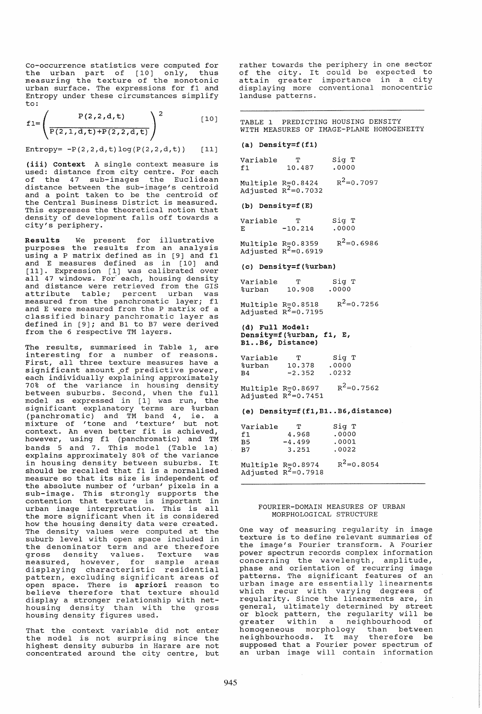Co-occurrence statistics were computed for the urban part of [10] only, thus end driven part of  $\begin{bmatrix} 1 & 0 \\ 0 & 1 \end{bmatrix}$ , thus urban surface. The expressions for f1 and Entropy under these circumstances simplify to:

$$
f1 = \left(\frac{P(2,2,d,t)}{P(2,1,d,t) + P(2,2,d,t)}\right)^2
$$
 [10]

Entropy=  $-P(2,2,d,t)$ log( $P(2,2,d,t)$ ) [11]

(iii) context A single context measure is used: distance from city centre. For each of the 47 sub-images the Euclidean distance between the sub-image's centroid arboance seemeen one case image a centroid of the Central Business District is measured. This expresses the theoretical notion that density of development falls off towards a city's periphery.

Results We present for illustrative purposes the results from an analysis using a P matrix defined as in [9] and f1 and E measures defined as in [10] and<br>[11]. Expression [1] was calibrated over all 47 windows. For each, housing density and distance were retrieved from the GIS<br>attribute table; percent urban was<br>measured from the panchromatic layer; f1 measured from the panchromatic layer; fl<br>and E were measured from the P matrix of a<br>classified binary panchromatic layer as<br>defined in [9]; and B1 to B7 were derived from the 6 respective TM layers.

The results, summarised in Table 1, are<br>interesting for a number of reasons.<br>First, all three texture measures have a<br>significant amount\_of predictive power, each individually explaining approximately 70% of the variance in housing density between suburbs. Second, when the full model as expressed in [1] was run, the moder as empressed in  $\begin{bmatrix} 1 \\ 2 \end{bmatrix}$  was range one (panchromatic) and TM band 4, ie. a mixture of 'tone and ' texture' but not mixture of tone and texture but not<br>context. An even better fit is achieved, however, using f1 (panchromatic) and TM bands 5 and 7. This model (Table 1a) explains approximately 80% of the variance in housing density between suburbs. It should be recalled that f1 is a normalised<br>measure so that its size is independent of<br>the absolute number of 'urban' pixels in a the absolute number of 'urban' pixels in a<br>sub-image. This strongly supports the sub image. This servingly supports the<br>contention that texture is important in urban image interpretation. This is all the more significant when it is considered how the housing density data were created. The density values were computed at the suburb level with open space included in the denominator term and are therefore<br>gross density values. Texture was measured, however, for sample areas<br>displaying characteristic residential pattern, excluding significant areas of paceern, exeruaring exgnificant areas or believe therefore that texture should display a stronger relationship with nethousing density than with the gross housing density figures used.

That the context variable did not enter the model is not surprising since the highest density suburbs in Harare are not concentrated around the city centre, but rather towards the periphery in one sector rather towards the periphery<br>of the city. It could be of the crey. It could be displaying more conventional monocentric landuse patterns. expected to in a city

TABLE 1 PREDICTING HOUSING DENSITY WITH MEASURES OF IMAGE-PLANE HOMOGENEITY

### (a) Density=f(fl)

| Variable | ጥ      | Sig T |
|----------|--------|-------|
| f1       | 10.487 | .0000 |

Multiple R=0.8424<br>Adjusted R<sup>2</sup>=0.7032  $R^2=0.7097$ 

### (b) Density=f(E)

| Variable | ጥ         | Sig T |
|----------|-----------|-------|
| Е        | $-10.214$ | .0000 |

Multiple R=0.8359<br>Adjusted R<sup>2</sup>=0.6919  $R^2=0.6986$ 

#### (c) Density=f(%urban)

| Variable | T      | Sig T |  |
|----------|--------|-------|--|
| %urban   | 10.908 | .0000 |  |

Multiple R=0.8518<br>Adjusted R<sup>2</sup>=0.7195  $R^2=0.7256$ 

Cd) Full Model: Density=f(%urban, fl, E, B1..B6, Distance)

| Variable  | $\mathbf{T}$ | Sig T |
|-----------|--------------|-------|
| %urban    | 10.378       | .0000 |
| <b>B4</b> | $-2.352$     | .0232 |

Multiple  $R=0.8697$ Adjusted  $R^2$ =0.7451  $R^2=0.7562$ 

#### (e) Density=f(f1,B1..B6,distance)

| Variable | ጥ        | Sig T |
|----------|----------|-------|
| f1       | 4.968    | .0000 |
| B5.      | $-4.499$ | .0001 |
| B7       | 3.251    | .0022 |
|          |          |       |

Multiple R=0.8974 Adjusted  $R^2=0.7918$  $R^2=0.8054$ 

#### FOURIER-DOMAIN MEASURES OF URBAN MORPHOLOGICAL STRUCTURE

One way of measuring regularity in image texture is to define relevant summaries of the image's Fourier transform. A Fourier power spectrum records complex information concerning the wavelength, amplitude, phase and orientation of recurring image<br>patterns. The significant features of an pacterns.<br>urban image are essentially linearments which recur with varying degrees of regularity. Since the linearments are, in<br>general, ultimately determined by street general, ultimately determined by street or block pattern, the regularity will be of *biook* pactern, the regarding with be<br>greater within a neighbourhood of homogeneous morphology than between neighbourhoods. It may therefore be supposed that a Fourier power spectrum of an urban image will contain information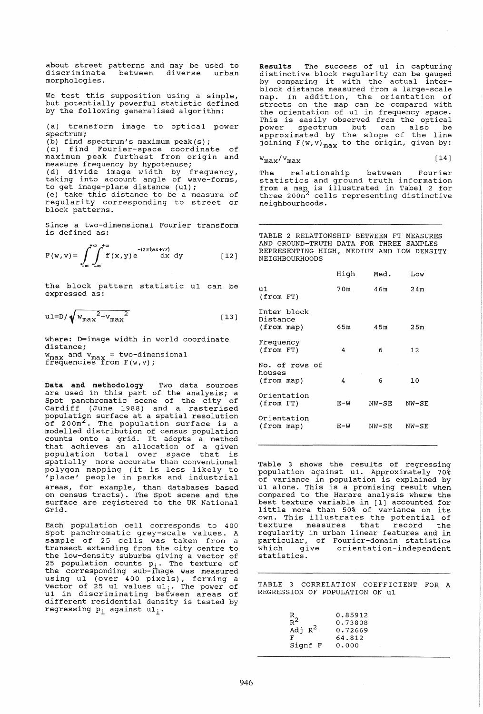about street patterns and may be used to discriminate between diverse urban morphologies.

We test this supposition using a simple, but potentially powerful statistic defined by the following generalised algorithm:

(a) transform image to optical power spectrum;

(b) find spectrum's maximum peak(s);<br>(c) find Fourier-space coordina (c) find Fourier-space coordinate of maximum peak furthest from origin and measure frequency by hypotenuse; (d) divide image width by frequency, taking into account angle of wave-forms, to get image-plane distance (u1); (e) take this distance to be a measure of regularity corresponding to street or block patterns.

since a two-dimensional Fourier transform is defined as:

$$
F(w, v) = \int_{-\infty}^{+\infty} \int_{-\infty}^{+\infty} f(x, y) e^{-i2\pi(wx + vy)} dx dy
$$
 [12]

the block pattern statistic u1 can be expressed as:

$$
u1=D/\sqrt{{w_{max}}^2+{v_{max}}^2}
$$
 (13)

where: D=image width in world coordinate distance; w<sub>max</sub> and v<sub>max</sub> = two-dimensional<br>frequencies from F(w,v);

Data and methodology Two data sources are used in this part of the analysis; a spot panchromatic scene of the city of Cardiff (June 1988) and a rasterised population surface at a spatial resolution<br>of 200m<sup>2</sup>. The population surface is a population surface at a spatial resolution<br>of 200m<sup>2</sup>. The population surface is a<br>modelled distribution of census population modefied discribution of census population<br>counts onto a grid. It adopts a method that achieves an allocation of a given population total over space that is spatially more accurate than conventional polygon mapping (it is less likely to 'place' people in parks and industrial areas, for example, than databases based on census tracts). The spot scene and the surface are registered to the UK National Grid.

Each population cell corresponds to 400 spot panchromatic grey-scale values. A transect extending from the city centre to the low-density suburbs giving a vector of 25 population counts p<sub>i</sub>. The texture of the corresponding sub-image was measured enc corresponding sub image was measured<br>using u1 (over 400 pixels), forming a<br>vector of 25 u1 values u1<sub>i</sub>. The power of u1 in discriminating between areas of different residential density is tested by regressing  $p_i$  against  $u1_i$ .

Results The success of u1 in capturing distinctive block regularity can be gauged by comparing it with the actual interblock distance measured from a large-scale map. In addition, the orientation of streets on the map can be compared with the orientation of u1 in frequency space. This is easily observed from the optical power spectrum but can also be power spectrum but can also be<br>approximated by the slope of the line joining  $F(w,v)_{max}$  to the origin, given by:

$$
\tt w_{max}/v_{max}
$$

[14J

The relationship between Fourier statistics and ground truth information statistics and ground trath information<br>from a map is illustrated in Tabel 2 for three 200m<sup>2</sup> cells representing distinctive neighbourhoods.

TABLE 2 RELATIONSHIP BETWEEN FT MEASURES AND GROUND-TRUTH DATA FOR THREE SAMPLES REPRESENTING HIGH, MEDIUM AND LOW DENSITY NEIGHBOURHOODS

|                                        | High  | Med.  | Low     |  |
|----------------------------------------|-------|-------|---------|--|
| บ 1.<br>$(from$ $FT)$                  | 70m   | 46m   | 24m     |  |
| Inter block<br>Distance<br>(from map)  | 65m   | 45m   | 25m     |  |
| Frequency<br>$(from$ $FT)$             | 4     | 6     | 12      |  |
| No. of rows of<br>houses<br>(from map) | 4     | 6     | 10      |  |
| Orientation<br>$(from$ $FT)$           | $E-W$ | NW-SE | $NW-SE$ |  |
| Orientation<br>(from map)              | E-W   | NW-SE | NW-SE   |  |
|                                        |       |       |         |  |

Table 3 shows the results of regressing population against u1. Approximately 70% of variance in population is explained by u1 alone. This is a promising result when compared to the Harare analysis where the best texture variable in [lJ accounted for little more than 50% of variance on its own. This illustrates the potential of own. This illustrates the potential of<br>texture measures that record the regularity in urban linear features and in particular, of Fourier-domain statistics orientation-independent statistics.

TABLE 3 CORRELATION COEFFICIENT FOR A REGRESSION OF POPULATION ON u1

| $\mathbb{R}$     | 0.85912 |
|------------------|---------|
| $\overline{R}^2$ | 0.73808 |
| Adj $R^2$        | 0.72669 |
| F                | 64.812  |
| Signf F          | 0.000   |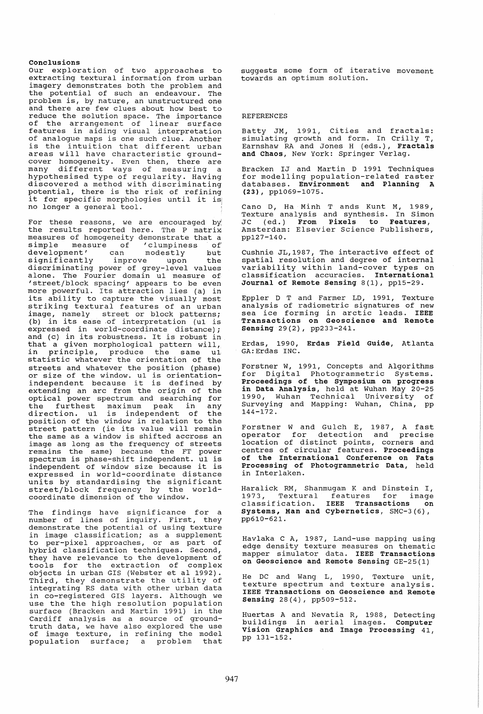# Conclusions

Our exploration of two approaches to extracting textural information from urban imagery demonstrates both the problem and the potential of such an endeavour. The problem is, by nature, an unstructured one and there are few clues about how best to reduce the solution space. The importance of the arrangement of linear surface features in aiding visual interpretation of analogue maps is one such clue. Another<br>is the intuition that different urban areas will have characteristic ground-<br>cover homogeneity. Even then, there are<br>many different ways of measuring a<br>hypothesised type of regularity. Having discovered a method with discriminating potential, there is the risk of refining it for specific morphologies until it is<br>no longer a general tool.

For these reasons, we are encouraged by the results reported here. The P matrix<br>measures of homogeneity demonstrate that a<br>simple measure of 'clumpiness of simple measure of 'clumpiness of<br>development' can modestly but<br>significantly improve upon the significantly improve upon the discriminating power of grey-level values alone. The Fourier domain ul measure of<br>'street/block spacing' appears to be even 'street/block spacing' appears to be even more powerful. Its attraction lies (a) in more powerful. Its attraction fies (a) in<br>its ability to capture the visually most striking textural features of an urban image, namely street or block patterns; (b) in its ease of interpretation (ul is expressed in world-coordinate distance); and (c) in its robustness. It is robust in that a given morphological pattern will,<br>in principle, produce the same ul principle, produce the statistic whatever the orientation of the<br>streets and whatever the position (phase) streets and whatever the position (phase) or size of the window. u1 is orientationor size of the window. ul is orientation-<br>independent because it is defined by extending an arc from the origin of the optical power spectrum and searching for the furthest maximum peak in any direction. u1 is independent of the position of the window in relation to the position of the window in feration to the<br>street pattern (ie its value will remain the same as a window is shifted accross an image as long as the frequency of streets remains the same) because the FT power spectrum is phase-shift independent. u1 is independent of window size because it is expressed in world-coordinate distance units by standardising the significant street/block frequency by the worldcoordinate dimension of the window.

The findings have significance for a<br>number of lines of inquiry. First, they demonstrate the potential of using texture in image classification; as a supplement to per-pixel approaches, or as part of hybrid classification techniques. Second, they have relevance to the development of tools for the extraction of complex objects in urban GIS (Webster et al 1992). Third, they demonstrate the utility of integrating RS data with other urban data in co-registered GIS layers. Although we use the the high resolution population surface (Bracken and Martin 1991) in the Cardiff analysis as a source of groundtruth data, we have also explored the use of image texture, in refining the model of image cexture, in ferfining the model<br>population surface; a problem that suggests some form of iterative movement towards an optimum solution.

### REFERENCES

Batty JM, 1991, Cities and fractals:<br>simulating growth and form. In Crilly T, Earnshaw RA and Jones H (eds.), Fractals and Chaos, New York: Springer Verlag.

Bracken IJ and Martin D 1991 Techniques for modelling population-related raster databases. Environment and Planning A (23), pp1069-1075.

Cano D, Ha Minh T ands Kunt M, 1989, Texture analysis and synthesis. In Simon JC (ed.) From Pixels to Features, Amsterdam: Elsevier Science Publishers, pp127-140.

Cushnie JL,1987, The interactive effect of spatial resolution and degree of internal variability within land-cover types on classification accuracies. International Journal of Remote sensing 8(1), pp15-29.

Eppler D T and Farmer LD, 1991, Texture analysis of radiometric signatures of new sea ice forming in arctic leads. IEEE Transactions on Geoscience and Remote sensing 29(2), pp233-241.

Erdas, 1990, Erdas Field Guide, Atlanta GA:Erdas INC.

Forstner W, 1991, Concepts and Algorithms for Digital Photogrammetric Systems. Proceedings of the symposium on progress in Data Analysis, held at Wuhan May 20-25 1990, Wuhan Technical University of surveying and Mapping: Wuhan, China, pp 144-172.

Forstner Wand Gulch E, 1987, A fast operator for detection and precise location of distinct points, corners and centres of circular features. Proceedings of the International Conference on Fats Processing of Photogrammetric Data, held in Interlaken.

Haralick RM, Shanmugam K and Dinstein I, nardfrom hip Bhanmagam in dha BinBeein 1,<br>1973, Textural features for image classification. IEEE Transactions on<br>Systems, Man and Cybernetics, SMC-3(6),<br>pp610-621.

Havlaka C A, 1987, Land-use mapping using edge density texture measures on thematic mapper simulator data. IEEE Transactions on Geoscience and Remote sensing GE-25(l)

He DC and Wang L, 1990, Texture unit, texture spectrum and texture analysis. IEEE Transactions on Geoscience and Remote sensing 28(4), pp509-512.

Huertas A and Nevatia R, 1988, Detecting buildings in aerial images. Computer vision Graphics and Image Processing 41, pp 131-152.